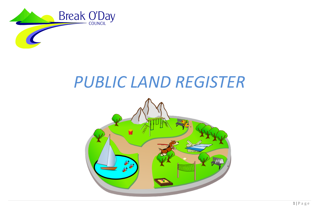

# *PUBLIC LAND REGISTER*

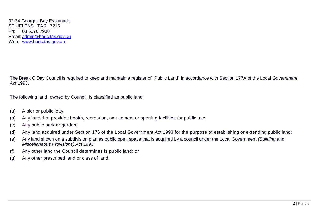32-34 Georges Bay Esplanade ST HELENS TAS 7216 Ph: 03 6376 7900 Email: [admin@bodc.tas.gov.au](mailto:admin@bodc.tas.gov.au) Web: [www.bodc.tas.gov.au](http://www.bodc.tas.gov.au/)

The Break O'Day Council is required to keep and maintain a register of "Public Land" in accordance with Section 177A of the Local *Government Act* 1993.

The following land, owned by Council, is classified as public land:

- (a) A pier or public jetty;
- (b) Any land that provides health, recreation, amusement or sporting facilities for public use;
- (c) Any public park or garden;
- (d) Any land acquired under Section 176 of the Local Government Act 1993 for the purpose of establishing or extending public land;
- (e) Any land shown on a subdivision plan as public open space that is acquired by a council under the Local Government *(Building* and *Miscellaneous Provisions) Act* 1993;
- (f) Any other land the Council determines is public land; or
- (g) Any other prescribed land or class of land.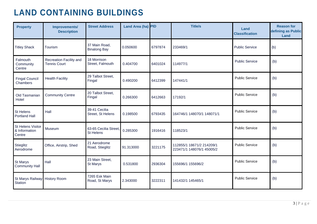### **LAND CONTAINING BUILDINGS**

| <b>Property</b>                                     | Improvements/<br><b>Description</b>            | <b>Street Address</b>                     | Land Area (ha) PID |         | <b>Title/s</b>                                         | Land<br><b>Classification</b> | <b>Reason for</b><br>defining as Public<br>Land |
|-----------------------------------------------------|------------------------------------------------|-------------------------------------------|--------------------|---------|--------------------------------------------------------|-------------------------------|-------------------------------------------------|
| <b>Titley Shack</b>                                 | Tourism                                        | 37 Main Road,<br><b>Binalong Bay</b>      | 0.050600           | 6797874 | 233469/1                                               | <b>Public Service</b>         | (b)                                             |
| Falmouth<br>Community<br>Centre                     | Recreation Facility and<br><b>Tennis Court</b> | 18 Morrison<br>Street, Falmouth           | 0.404700           | 6401024 | 114977/1                                               | <b>Public Service</b>         | (b)                                             |
| <b>Fingal Council</b><br>Chambers                   | <b>Health Facility</b>                         | 29 Talbot Street,<br>Fingal               | 0.490200           | 6412399 | 147441/1                                               | <b>Public Service</b>         | (b)                                             |
| Old Tasmanian<br>Hotel                              | <b>Community Centre</b>                        | 20 Talbot Street,<br>Fingal               | 0.266300           | 6412663 | 17192/1                                                | <b>Public Service</b>         | (b)                                             |
| St Helens<br>Portland Hall                          | Hall                                           | 39-41 Cecilia<br>Street, St Helens        | 0.198500           | 6793435 | 164746/1 148070/1 148071/1                             | <b>Public Service</b>         | (b)                                             |
| <b>St Helens Visitor</b><br>& Information<br>Centre | Museum                                         | 63-65 Cecilia Street,<br><b>St Helens</b> | 0.285300           | 1916416 | 118523/1                                               | <b>Public Service</b>         | (b)                                             |
| Stieglitz<br>Aerodrome                              | Office, Airstrip, Shed                         | 21 Aerodrome<br>Road, Stieglitz           | 91.313000          | 3221175 | 112855/1 18671/2 214209/1<br>223471/1 148076/1 45005/2 | <b>Public Service</b>         | (b)                                             |
| St Marys<br><b>Community Hall</b>                   | Hall                                           | 23 Main Street,<br>St Marys               | 0.531800           | 2936304 | 155696/1 155696/2                                      | <b>Public Service</b>         | (b)                                             |
| St Marys Railway History Room<br><b>Station</b>     |                                                | 7265 Esk Main<br>Road, St Marys           | 2.343000           | 3222311 | 141432/1 145465/1                                      | <b>Public Service</b>         | (b)                                             |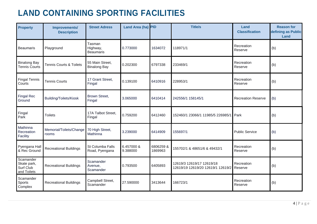## **LAND CONTAINING SPORTING FACILITIES**

| <b>Property</b>                                      | Improvements/<br><b>Description</b> | <b>Street Adress</b>                   | Land Area (ha) PID     |                     | <b>Title/s</b>                                                 | Land<br><b>Classification</b> | <b>Reason for</b><br>defining as Public<br>Land |
|------------------------------------------------------|-------------------------------------|----------------------------------------|------------------------|---------------------|----------------------------------------------------------------|-------------------------------|-------------------------------------------------|
| Beaumaris                                            | Playground                          | Tasman<br>Highway,<br><b>Beaumaris</b> | 0.773000               | 1634072             | 118971/1                                                       | Recreation<br>Reserve         | (b)                                             |
| <b>Binalong Bay</b><br><b>Tennis Courts</b>          | Tennis Courts & Toilets             | 55 Main Street,<br><b>Binalong Bay</b> | 0.202300               | 6797338             | 233469/1                                                       | Recreation<br>Reserve         | (b)                                             |
| <b>Fingal Tennis</b><br>Courts                       | <b>Tennis Courts</b>                | 17 Grant Street,<br>Fingal             | 0.139100               | 6410916             | 228953/1                                                       | Recreation<br>Reserve         | (b)                                             |
| <b>Fingal Rec</b><br>Ground                          | Building/Toilets/Kiosk              | <b>Brown Street,</b><br>Fingal         | 3.065000               | 6410414             | 242556/1 158145/1                                              | <b>Recreation Reserve</b>     | (b)                                             |
| Fingal<br>Park                                       | <b>Toilets</b>                      | 17A Talbot Street,<br>Fingal           | 0.759200               | 6412460             | 152460/1 23066/1 11985/5 226985/1 Park                         |                               | (b)                                             |
| Mathinna<br>Recreation<br>Facility                   | Memorial/Toilets/Change<br>rooms    | 70 High Street,<br>Mathinna            | 3.239000               | 6414909             | 155697/1                                                       | <b>Public Service</b>         | (b)                                             |
| Pyengana Hall<br>& Rec Ground                        | <b>Recreational Buildings</b>       | St Columba Falls<br>Road, Pyengana     | 6.457000 &<br>9.388000 | 6806259&<br>1869963 | 155702/1 & 48651/6 & 49432/1                                   | Recreation<br>Reserve         | (b)                                             |
| Scamander<br>Skate park,<br>Surf Club<br>and Toilets | <b>Recreational Buildings</b>       | Scamander<br>Avenue,<br>Scamander      | 0.793500               | 6405893             | 12619/3 12619/17 12619/18<br>12619/19 12619/20 12619/1 12619/2 | Recreation<br>Reserve         | (b)                                             |
| Scamander<br>Sports<br>Complex                       | <b>Recreational Buildings</b>       | Campbell Street,<br>Scamander          | 27.590000              | 3413644             | 166723/1                                                       | Recreation<br>Reserve         | (b)                                             |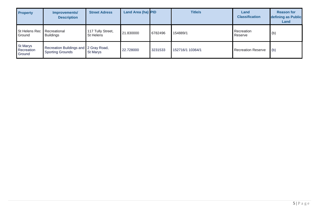| <b>Property</b>                         | Improvements/<br><b>Description</b>                              | <b>Street Adress</b>           | Land Area (ha) PID |         | <b>Title/s</b>   | Land<br><b>Classification</b> | <b>Reason for</b><br>defining as Public<br>Land |
|-----------------------------------------|------------------------------------------------------------------|--------------------------------|--------------------|---------|------------------|-------------------------------|-------------------------------------------------|
| St Helens Rec<br>Ground                 | Recreational<br><b>Buildings</b>                                 | 117 Tully Street,<br>St Helens | 21.830000          | 6782496 | 154889/1         | Recreation<br>Reserve         | (b)                                             |
| <b>St Marys</b><br>Recreation<br>Ground | Recreation Buildings and 2 Gray Road,<br><b>Sporting Grounds</b> | St Marys                       | 22.728000          | 3231533 | 152716/1 10364/1 | <b>Recreation Reserve</b>     | (b)                                             |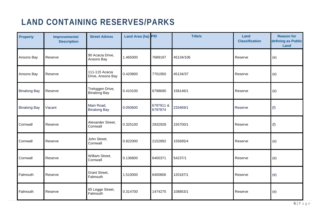## **LAND CONTAINING RESERVES/PARKS**

| <b>Property</b>     | Improvements/<br><b>Description</b> | <b>Street Adress</b>                    | Land Area (ha) PID |                     | <b>Title/s</b> | <b>Land</b><br><b>Classification</b> | <b>Reason for</b><br>defining as Public<br>Land |
|---------------------|-------------------------------------|-----------------------------------------|--------------------|---------------------|----------------|--------------------------------------|-------------------------------------------------|
| Ansons Bay          | Reserve                             | 90 Acacia Drive,<br>Ansons Bay          | 1.465000           | 7689197             | 45134/106      | Reserve                              | (e)                                             |
| Ansons Bay          | Reserve                             | 111-115 Acacia<br>Drive, Ansons Bay     | 0.420800           | 7701950             | 45134/37       | Reserve                              | (e)                                             |
| <b>Binalong Bay</b> | Reserve                             | Treloggen Drive,<br><b>Binalong Bay</b> | 0.410100           | 6798690             | 158146/1       | Reserve                              | (e)                                             |
| <b>Binalong Bay</b> | Vacant                              | Main Road,<br><b>Binalong Bay</b>       | 0.050600           | 6797911&<br>6797874 | 233469/1       | Reserve                              | (f)                                             |
| Cornwall            | Reserve                             | Alexander Street,<br>Cornwall           | 0.325100           | 2932928             | 155700/1       | Reserve                              | (f)                                             |
| Cornwall            | Reserve                             | John Street,<br>Cornwall                | 0.822000           | 2152892             | 155695/4       | Reserve                              | (e)                                             |
| Cornwall            | Reserve                             | William Street,<br>Cornwall             | 0.136800           | 6400371             | 54237/1        | Reserve                              | (e)                                             |
| Falmouth            | Reserve                             | <b>Grant Street,</b><br>Falmouth        | 1.510000           | 6400806             | 120187/1       | Reserve                              | (e)                                             |
| Falmouth            | Reserve                             | 65 Legge Street,<br>Falmouth            | 0.314700           | 1474275             | 108853/1       | Reserve                              | (e)                                             |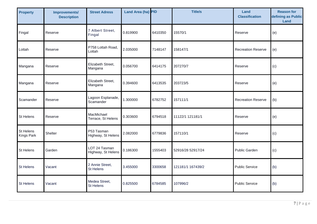| <b>Property</b>         | <b>Improvements/</b><br><b>Description</b> | <b>Street Adress</b>                | Land Area (ha) PID |         | <b>Title/s</b>    | Land<br><b>Classification</b> | <b>Reason for</b><br>defining as Public<br>Land |
|-------------------------|--------------------------------------------|-------------------------------------|--------------------|---------|-------------------|-------------------------------|-------------------------------------------------|
| Fingal                  | Reserve                                    | 7 Albert Street,<br>Fingal          | 0.819900           | 6410350 | 15570/1           | Reserve                       | (e)                                             |
| Lottah                  | Reserve                                    | P758 Lottah Road,<br>Lottah         | 2.035000           | 7148147 | 158147/1          | <b>Recreation Reserve</b>     | (e)                                             |
| Mangana                 | Reserve                                    | Elizabeth Street,<br>Mangana        | 0.056700           | 6414175 | 207270/7          | Reserve                       | (c)                                             |
| Mangana                 | Reserve                                    | Elizabeth Street,<br>Mangana        | 0.394600           | 6413535 | 203723/5          | Reserve                       | (e)                                             |
| Scamander               | Reserve                                    | Lagoon Esplanade,<br>Scamander      | 1.300000           | 6782752 | 157111/1          | <b>Recreation Reserve</b>     | (b)                                             |
| St Helens               | Reserve                                    | MacMichael<br>Terrace, St Helens    | 0.303600           | 6794518 | 11122/1 121181/1  | Reserve                       | (e)                                             |
| St Helens<br>Kings Park | Shelter                                    | P53 Tasman<br>Highway, St Helens    | 2.082000           | 6779836 | 157110/1          | Reserve                       | (c)                                             |
| St Helens               | Garden                                     | LOT 24 Tasman<br>Highway, St Helens | 0.186300           | 1555403 | 52916/28 52917/24 | <b>Public Garden</b>          | (c)                                             |
| St Helens               | Vacant                                     | 2 Annie Street,<br>St Helens        | 3.455000           | 3300658 | 121181/1 167439/2 | <b>Public Service</b>         | (b)                                             |
| St Helens               | Vacant                                     | Medea Street,<br>St Helens          | 0.825500           | 6784585 | 107996/2          | <b>Public Service</b>         | (b)                                             |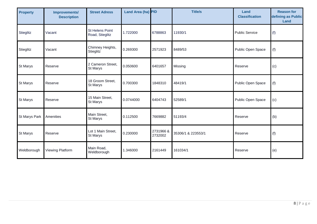| <b>Property</b>      | Improvements/<br><b>Description</b> | <b>Street Adress</b>               | Land Area (ha) PID |                      | <b>Title/s</b>     | Land<br><b>Classification</b> | <b>Reason for</b><br>defining as Public<br>Land |
|----------------------|-------------------------------------|------------------------------------|--------------------|----------------------|--------------------|-------------------------------|-------------------------------------------------|
| Stieglitz            | Vacant                              | St Helens Point<br>Road, Stieglitz | 1.722000           | 6788863              | 11930/1            | <b>Public Service</b>         | (f)                                             |
| Stieglitz            | Vacant                              | Chimney Heights,<br>Stieglitz      | 0.269300           | 2571923              | 8489/53            | Public Open Space             | (f)                                             |
| <b>St Marys</b>      | Reserve                             | 2 Cameron Street,<br>St Marys      | 0.050600           | 6401657              | Missing            | Reserve                       | (c)                                             |
| <b>St Marys</b>      | Reserve                             | 18 Groom Street,<br>St Marys       | 0.700300           | 1848310              | 48419/1            | Public Open Space             | (f)                                             |
| <b>St Marys</b>      | Reserve                             | 15 Main Street,<br>St Marys        | 0.0744000          | 6404743              | 52589/1            | Public Open Space             | (c)                                             |
| <b>St Marys Park</b> | Amenities                           | Main Street,<br>St Marys           | 0.112500           | 7669882              | 51193/4            | Reserve                       | (b)                                             |
| <b>St Marys</b>      | Reserve                             | Lot 1 Main Street,<br>St Marys     | 0.230000           | 2731966 &<br>2732002 | 35306/1 & 223553/1 | Reserve                       | (f)                                             |
| Weldborough          | Viewing Platform                    | Main Road,<br>Weldborough          | 1.346000           | 2161449              | 161034/1           | Reserve                       | (e)                                             |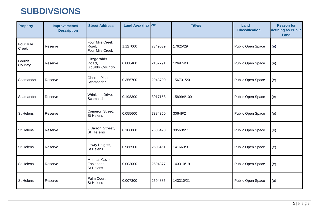#### **SUBDIVSIONS**

| <b>Property</b>    | Improvements/<br><b>Description</b> | <b>Street Address</b>                         | Land Area (ha) PID |         | <b>Title/s</b> | Land<br><b>Classification</b> | <b>Reason for</b><br>defining as Public<br>Land |
|--------------------|-------------------------------------|-----------------------------------------------|--------------------|---------|----------------|-------------------------------|-------------------------------------------------|
| Four Mile<br>Creek | Reserve                             | Four Mile Creek<br>Road,<br>Four Mile Creek   | 1.127000           | 7349539 | 17625/29       | Public Open Space             | (e)                                             |
| Goulds<br>Country  | Reserve                             | Fitzgeralds<br>Road,<br><b>Goulds Country</b> | 0.888400           | 2162791 | 126974/3       | Public Open Space             | (e)                                             |
| Scamander          | Reserve                             | Oberon Place,<br>Scamander                    | 0.356700           | 2948700 | 156731/20      | Public Open Space             | (e)                                             |
| Scamander          | Reserve                             | Wrinklers Drive,<br>Scamander                 | 0.198300           | 3017158 | 158994/100     | Public Open Space             | (e)                                             |
| St Helens          | Reserve                             | Cameron Street,<br><b>St Helens</b>           | 0.055600           | 7384350 | 30649/2        | Public Open Space             | (e)                                             |
| St Helens          | Reserve                             | 8 Jason Street.<br><b>St Helens</b>           | 0.106000           | 7386428 | 30563/27       | Public Open Space             | (e)                                             |
| St Helens          | Reserve                             | Lawry Heights,<br><b>St Helens</b>            | 0.986500           | 2503461 | 141663/9       | Public Open Space             | (e)                                             |
| St Helens          | Reserve                             | Medeas Cove<br>Esplanade,<br><b>St Helens</b> | 0.003000           | 2594877 | 143310/19      | Public Open Space             | (e)                                             |
| St Helens          | Reserve                             | Palm Court,<br><b>St Helens</b>               | 0.007300           | 2594885 | 143310/21      | Public Open Space             | (e)                                             |